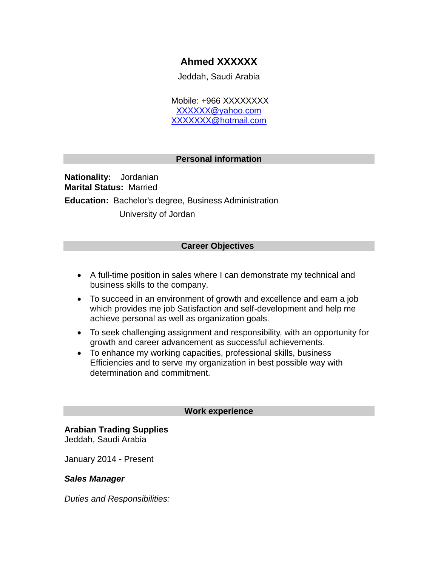# **Ahmed XXXXXX**

Jeddah, Saudi Arabia

 Mobile: +966 XXXXXXXX XXXXXX@yahoo.com XXXXXXX@hotmail.com

### **Personal information**

**Nationality:** Jordanian **Marital Status:** Married **Education:** Bachelor's degree, Business Administration University of Jordan

## **Career Objectives**

- A full-time position in sales where I can demonstrate my technical and business skills to the company.
- To succeed in an environment of growth and excellence and earn a job which provides me job Satisfaction and self-development and help me achieve personal as well as organization goals.
- To seek challenging assignment and responsibility, with an opportunity for growth and career advancement as successful achievements.
- To enhance my working capacities, professional skills, business Efficiencies and to serve my organization in best possible way with determination and commitment.

#### **Work experience**

# **Arabian Trading Supplies**

Jeddah, Saudi Arabia

January 2014 - Present

#### *Sales Manager*

*Duties and Responsibilities:*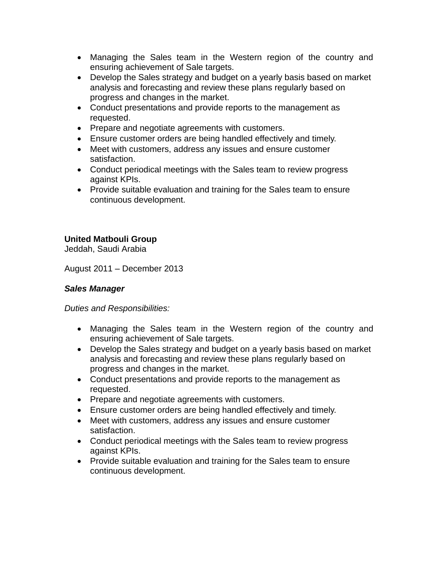- Managing the Sales team in the Western region of the country and ensuring achievement of Sale targets.
- Develop the Sales strategy and budget on a yearly basis based on market analysis and forecasting and review these plans regularly based on progress and changes in the market.
- Conduct presentations and provide reports to the management as requested.
- Prepare and negotiate agreements with customers.
- Ensure customer orders are being handled effectively and timely.
- Meet with customers, address any issues and ensure customer satisfaction.
- Conduct periodical meetings with the Sales team to review progress against KPIs.
- Provide suitable evaluation and training for the Sales team to ensure continuous development.

# **United Matbouli Group**

Jeddah, Saudi Arabia

August 2011 – December 2013

## *Sales Manager*

*Duties and Responsibilities:*

- Managing the Sales team in the Western region of the country and ensuring achievement of Sale targets.
- Develop the Sales strategy and budget on a yearly basis based on market analysis and forecasting and review these plans regularly based on progress and changes in the market.
- Conduct presentations and provide reports to the management as requested.
- Prepare and negotiate agreements with customers.
- Ensure customer orders are being handled effectively and timely.
- Meet with customers, address any issues and ensure customer satisfaction.
- Conduct periodical meetings with the Sales team to review progress against KPIs.
- Provide suitable evaluation and training for the Sales team to ensure continuous development.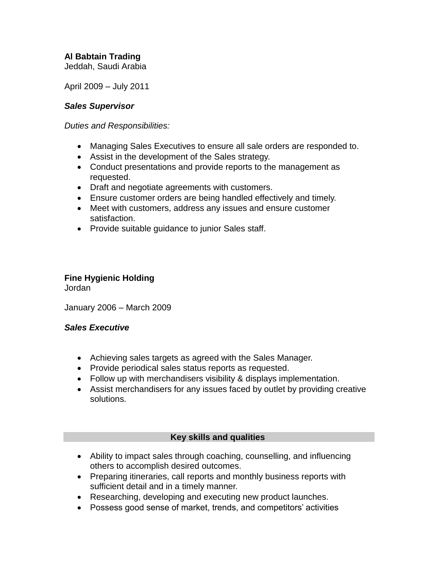# **Al Babtain Trading**

Jeddah, Saudi Arabia

April 2009 – July 2011

### *Sales Supervisor*

*Duties and Responsibilities:*

- Managing Sales Executives to ensure all sale orders are responded to.
- Assist in the development of the Sales strategy.
- Conduct presentations and provide reports to the management as requested.
- Draft and negotiate agreements with customers.
- Ensure customer orders are being handled effectively and timely.
- Meet with customers, address any issues and ensure customer satisfaction.
- Provide suitable guidance to junior Sales staff.

#### **Fine Hygienic Holding** Jordan

January 2006 – March 2009

### *Sales Executive*

- Achieving sales targets as agreed with the Sales Manager.
- Provide periodical sales status reports as requested.
- Follow up with merchandisers visibility & displays implementation.
- Assist merchandisers for any issues faced by outlet by providing creative solutions.

### **Key skills and qualities**

- Ability to impact sales through coaching, counselling, and influencing others to accomplish desired outcomes.
- Preparing itineraries, call reports and monthly business reports with sufficient detail and in a timely manner.
- Researching, developing and executing new product launches.
- Possess good sense of market, trends, and competitors' activities